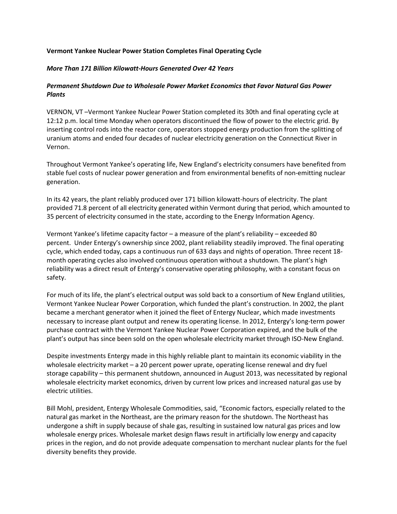## **Vermont Yankee Nuclear Power Station Completes Final Operating Cycle**

## *More Than 171 Billion Kilowatt-Hours Generated Over 42 Years*

## *Permanent Shutdown Due to Wholesale Power Market Economics that Favor Natural Gas Power Plants*

VERNON, VT –Vermont Yankee Nuclear Power Station completed its 30th and final operating cycle at 12:12 p.m. local time Monday when operators discontinued the flow of power to the electric grid. By inserting control rods into the reactor core, operators stopped energy production from the splitting of uranium atoms and ended four decades of nuclear electricity generation on the Connecticut River in Vernon.

Throughout Vermont Yankee's operating life, New England's electricity consumers have benefited from stable fuel costs of nuclear power generation and from environmental benefits of non-emitting nuclear generation.

In its 42 years, the plant reliably produced over 171 billion kilowatt-hours of electricity. The plant provided 71.8 percent of all electricity generated within Vermont during that period, which amounted to 35 percent of electricity consumed in the state, according to the Energy Information Agency.

Vermont Yankee's lifetime capacity factor – a measure of the plant's reliability – exceeded 80 percent. Under Entergy's ownership since 2002, plant reliability steadily improved. The final operating cycle, which ended today, caps a continuous run of 633 days and nights of operation. Three recent 18 month operating cycles also involved continuous operation without a shutdown. The plant's high reliability was a direct result of Entergy's conservative operating philosophy, with a constant focus on safety.

For much of its life, the plant's electrical output was sold back to a consortium of New England utilities, Vermont Yankee Nuclear Power Corporation, which funded the plant's construction. In 2002, the plant became a merchant generator when it joined the fleet of Entergy Nuclear, which made investments necessary to increase plant output and renew its operating license. In 2012, Entergy's long-term power purchase contract with the Vermont Yankee Nuclear Power Corporation expired, and the bulk of the plant's output has since been sold on the open wholesale electricity market through ISO-New England.

Despite investments Entergy made in this highly reliable plant to maintain its economic viability in the wholesale electricity market – a 20 percent power uprate, operating license renewal and dry fuel storage capability – this permanent shutdown, announced in August 2013, was necessitated by regional wholesale electricity market economics, driven by current low prices and increased natural gas use by electric utilities.

Bill Mohl, president, Entergy Wholesale Commodities, said, "Economic factors, especially related to the natural gas market in the Northeast, are the primary reason for the shutdown. The Northeast has undergone a shift in supply because of shale gas, resulting in sustained low natural gas prices and low wholesale energy prices. Wholesale market design flaws result in artificially low energy and capacity prices in the region, and do not provide adequate compensation to merchant nuclear plants for the fuel diversity benefits they provide.